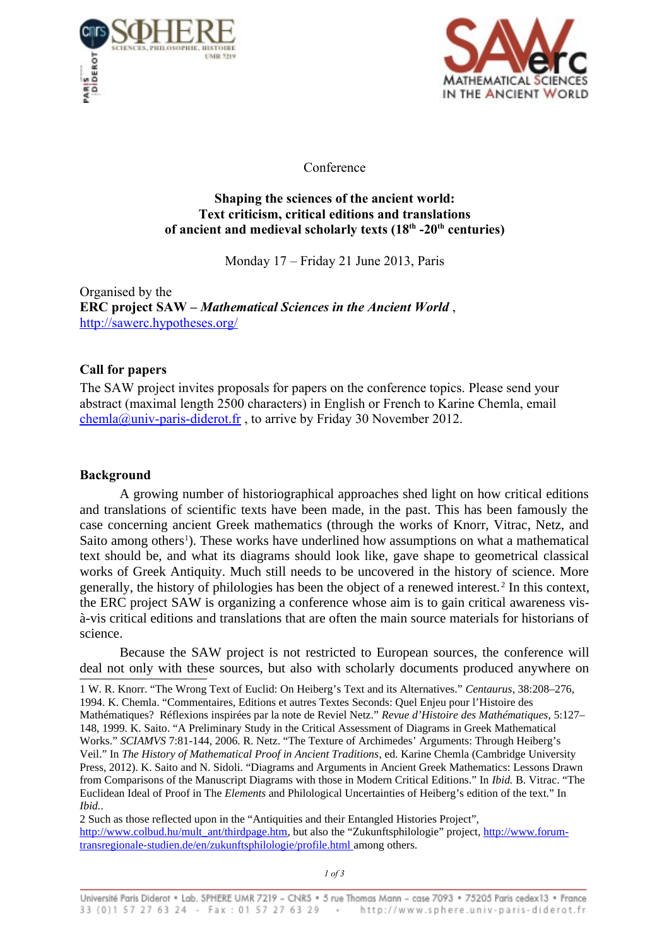



Conference

## **Shaping the sciences of the ancient world: Text criticism, critical editions and translations of ancient and medieval scholarly texts (18th -20th centuries)**

Monday 17 – Friday 21 June 2013, Paris

Organised by the **ERC project SAW –** *Mathematical Sciences in the Ancient World* , <http://sawerc.hypotheses.org/>

## **Call for papers**

The SAW project invites proposals for papers on the conference topics. Please send your abstract (maximal length 2500 characters) in English or French to Karine Chemla, email [chemla@univ-paris-diderot.fr](mailto:chemla@univ-paris-diderot.fr) , to arrive by Friday 30 November 2012.

## **Background**

A growing number of historiographical approaches shed light on how critical editions and translations of scientific texts have been made, in the past. This has been famously the case concerning ancient Greek mathematics (through the works of Knorr, Vitrac, Netz, and Saito among others<sup>[1](#page-0-0)</sup>). These works have underlined how assumptions on what a mathematical text should be, and what its diagrams should look like, gave shape to geometrical classical works of Greek Antiquity. Much still needs to be uncovered in the history of science. More generally, the history of philologies has been the object of a renewed interest. [2](#page-0-1) In this context, the ERC project SAW is organizing a conference whose aim is to gain critical awareness visà-vis critical editions and translations that are often the main source materials for historians of science.

Because the SAW project is not restricted to European sources, the conference will deal not only with these sources, but also with scholarly documents produced anywhere on

<span id="page-0-0"></span>1 W. R. Knorr. "The Wrong Text of Euclid: On Heiberg's Text and its Alternatives." *Centaurus*, 38:208–276, 1994. K. Chemla. "Commentaires, Editions et autres Textes Seconds: Quel Enjeu pour l'Histoire des Mathématiques? Réflexions inspirées par la note de Reviel Netz." *Revue d'Histoire des Mathématiques*, 5:127– 148, 1999. K. Saito. "A Preliminary Study in the Critical Assessment of Diagrams in Greek Mathematical Works." *SCIAMVS* 7:81-144, 2006. R. Netz. "The Texture of Archimedes' Arguments: Through Heiberg's Veil." In *The History of Mathematical Proof in Ancient Traditions*, ed. Karine Chemla (Cambridge University Press, 2012). K. Saito and N. Sidoli. "Diagrams and Arguments in Ancient Greek Mathematics: Lessons Drawn from Comparisons of the Manuscript Diagrams with those in Modern Critical Editions." In *Ibid.* B. Vitrac. "The Euclidean Ideal of Proof in The *Elements* and Philological Uncertainties of Heiberg's edition of the text." In *Ibid.*.

<span id="page-0-1"></span>2 Such as those reflected upon in the "Antiquities and their Entangled Histories Project", [http://www.colbud.hu/mult\\_ant/thirdpage.htm,](http://www.colbud.hu/mult_ant/thirdpage.htm) but also the "Zukunftsphilologie" project, [http://www.forum](http://www.forum-transregionale-studien.de/en/zukunftsphilologie/profile.html)  [transregionale-studien.de/en/zukunftsphilologie/profile.html](http://www.forum-transregionale-studien.de/en/zukunftsphilologie/profile.html) among others.

*1 of 3*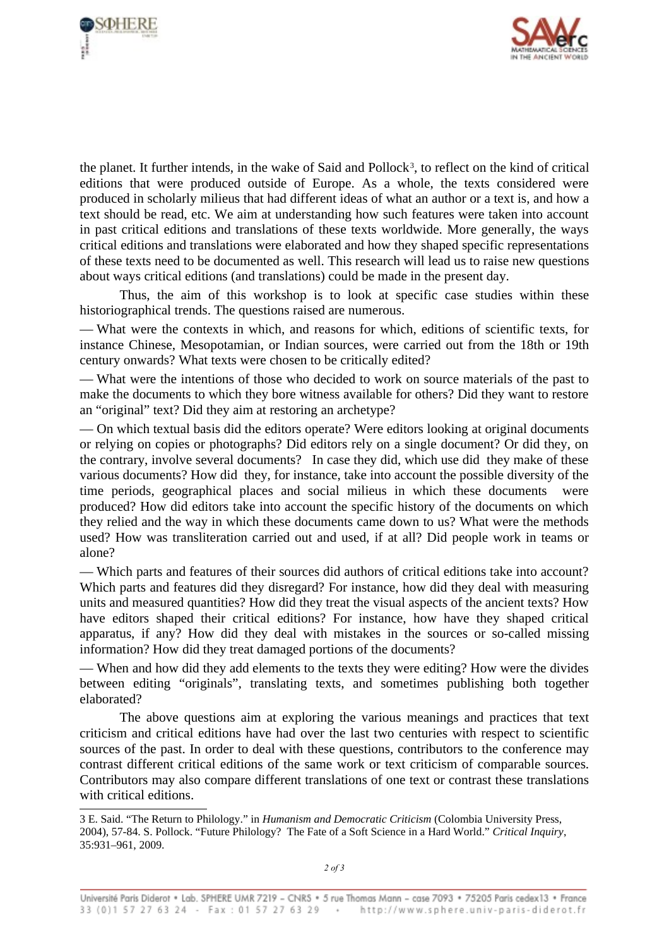



the planet. It further intends, in the wake of Said and Pollock<sup>[3](#page-1-0)</sup>, to reflect on the kind of critical editions that were produced outside of Europe. As a whole, the texts considered were produced in scholarly milieus that had different ideas of what an author or a text is, and how a text should be read, etc. We aim at understanding how such features were taken into account in past critical editions and translations of these texts worldwide. More generally, the ways critical editions and translations were elaborated and how they shaped specific representations of these texts need to be documented as well. This research will lead us to raise new questions about ways critical editions (and translations) could be made in the present day.

Thus, the aim of this workshop is to look at specific case studies within these historiographical trends. The questions raised are numerous.

— What were the contexts in which, and reasons for which, editions of scientific texts, for instance Chinese, Mesopotamian, or Indian sources, were carried out from the 18th or 19th century onwards? What texts were chosen to be critically edited?

— What were the intentions of those who decided to work on source materials of the past to make the documents to which they bore witness available for others? Did they want to restore an "original" text? Did they aim at restoring an archetype?

— On which textual basis did the editors operate? Were editors looking at original documents or relying on copies or photographs? Did editors rely on a single document? Or did they, on the contrary, involve several documents? In case they did, which use did they make of these various documents? How did they, for instance, take into account the possible diversity of the time periods, geographical places and social milieus in which these documents were produced? How did editors take into account the specific history of the documents on which they relied and the way in which these documents came down to us? What were the methods used? How was transliteration carried out and used, if at all? Did people work in teams or alone?

— Which parts and features of their sources did authors of critical editions take into account? Which parts and features did they disregard? For instance, how did they deal with measuring units and measured quantities? How did they treat the visual aspects of the ancient texts? How have editors shaped their critical editions? For instance, how have they shaped critical apparatus, if any? How did they deal with mistakes in the sources or so-called missing information? How did they treat damaged portions of the documents?

— When and how did they add elements to the texts they were editing? How were the divides between editing "originals", translating texts, and sometimes publishing both together elaborated?

The above questions aim at exploring the various meanings and practices that text criticism and critical editions have had over the last two centuries with respect to scientific sources of the past. In order to deal with these questions, contributors to the conference may contrast different critical editions of the same work or text criticism of comparable sources. Contributors may also compare different translations of one text or contrast these translations with critical editions.

<span id="page-1-0"></span><sup>3</sup> E. Said. "The Return to Philology." in *Humanism and Democratic Criticism* (Colombia University Press, 2004), 57-84. S. Pollock. "Future Philology? The Fate of a Soft Science in a Hard World." *Critical Inquiry*, 35:931–961, 2009.